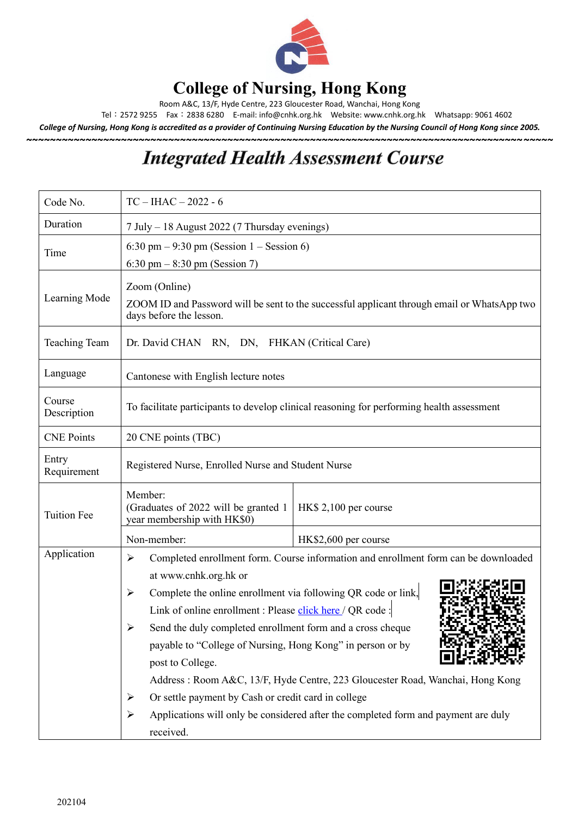

## **College of Nursing, Hong Kong**

Room A&C, 13/F, Hyde Centre, 223 Gloucester Road, Wanchai, Hong Kong

Tel:2572 9255 Fax:2838 6280 E-mail[: info@cnhk.org.hk](mailto:info@cnhk.org.hk) Website: [www.cnhk.org.hk](http://www.cnhk.org.hk/) Whatsapp: 9061 4602

*College of Nursing, Hong Kong is accredited as a provider of Continuing Nursing Education by the Nursing Council of Hong Kong since 2005.* **~~~~~~~~~~~~~~~~~~~~~~~~~~~~~~~~~~~~~~~~~~~~~~~~~~~~~~~~~~~~~~~~~~~~~~~~~~~~~~~~~~~~~~~~~**

## **Integrated Health Assessment Course**

| Code No.              | $TC - IHAC - 2022 - 6$                                                                                                                                                                                                                                                                                                                                                                                                                                                                                                                                                                                                                                                        |  |  |  |
|-----------------------|-------------------------------------------------------------------------------------------------------------------------------------------------------------------------------------------------------------------------------------------------------------------------------------------------------------------------------------------------------------------------------------------------------------------------------------------------------------------------------------------------------------------------------------------------------------------------------------------------------------------------------------------------------------------------------|--|--|--|
| Duration              | 7 July – 18 August 2022 (7 Thursday evenings)                                                                                                                                                                                                                                                                                                                                                                                                                                                                                                                                                                                                                                 |  |  |  |
| Time                  | 6:30 pm $-9:30$ pm (Session 1 $-$ Session 6)<br>6:30 pm $-8:30$ pm (Session 7)                                                                                                                                                                                                                                                                                                                                                                                                                                                                                                                                                                                                |  |  |  |
| Learning Mode         | Zoom (Online)<br>ZOOM ID and Password will be sent to the successful applicant through email or WhatsApp two<br>days before the lesson.                                                                                                                                                                                                                                                                                                                                                                                                                                                                                                                                       |  |  |  |
| <b>Teaching Team</b>  | Dr. David CHAN RN, DN, FHKAN (Critical Care)                                                                                                                                                                                                                                                                                                                                                                                                                                                                                                                                                                                                                                  |  |  |  |
| Language              | Cantonese with English lecture notes                                                                                                                                                                                                                                                                                                                                                                                                                                                                                                                                                                                                                                          |  |  |  |
| Course<br>Description | To facilitate participants to develop clinical reasoning for performing health assessment                                                                                                                                                                                                                                                                                                                                                                                                                                                                                                                                                                                     |  |  |  |
| <b>CNE Points</b>     | 20 CNE points (TBC)                                                                                                                                                                                                                                                                                                                                                                                                                                                                                                                                                                                                                                                           |  |  |  |
| Entry<br>Requirement  | Registered Nurse, Enrolled Nurse and Student Nurse                                                                                                                                                                                                                                                                                                                                                                                                                                                                                                                                                                                                                            |  |  |  |
| <b>Tuition Fee</b>    | Member:<br>(Graduates of 2022 will be granted 1)<br>HK\$ 2,100 per course<br>year membership with HK\$0)                                                                                                                                                                                                                                                                                                                                                                                                                                                                                                                                                                      |  |  |  |
|                       | Non-member:<br>HK\$2,600 per course                                                                                                                                                                                                                                                                                                                                                                                                                                                                                                                                                                                                                                           |  |  |  |
| Application           | Completed enrollment form. Course information and enrollment form can be downloaded<br>$\blacktriangleright$<br>at www.cnhk.org.hk or<br>Complete the online enrollment via following QR code or link,<br>≻<br>Link of online enrollment : Please click here / QR code :<br>Send the duly completed enrollment form and a cross cheque<br>payable to "College of Nursing, Hong Kong" in person or by<br>post to College.<br>Address: Room A&C, 13/F, Hyde Centre, 223 Gloucester Road, Wanchai, Hong Kong<br>Or settle payment by Cash or credit card in college<br>➤<br>Applications will only be considered after the completed form and payment are duly<br>➤<br>received. |  |  |  |